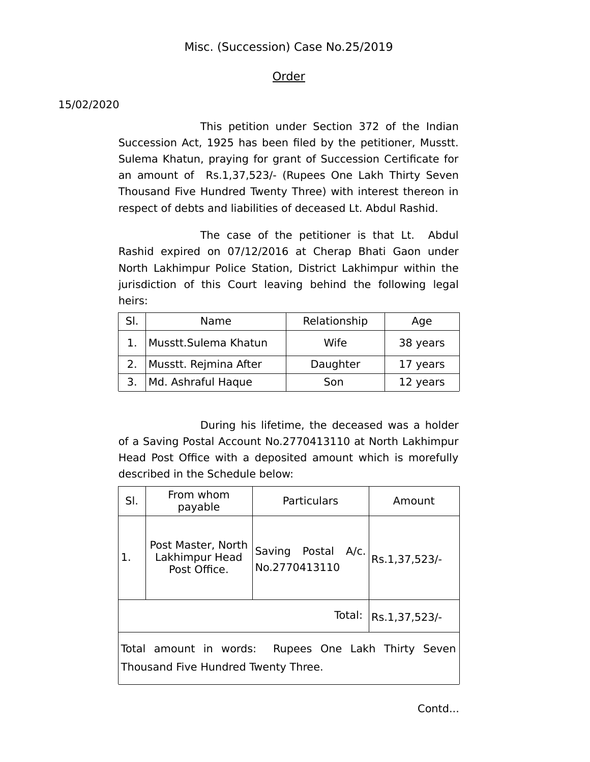## Misc. (Succession) Case No.25/2019

## Order

## 15/02/2020

This petition under Section 372 of the Indian Succession Act, 1925 has been filed by the petitioner, Musstt. Sulema Khatun, praying for grant of Succession Certificate for an amount of Rs.1,37,523/- (Rupees One Lakh Thirty Seven Thousand Five Hundred Twenty Three) with interest thereon in respect of debts and liabilities of deceased Lt. Abdul Rashid.

The case of the petitioner is that Lt. Abdul Rashid expired on 07/12/2016 at Cherap Bhati Gaon under North Lakhimpur Police Station, District Lakhimpur within the jurisdiction of this Court leaving behind the following legal heirs:

| SI. | Name                       | Relationship | Age      |
|-----|----------------------------|--------------|----------|
|     | Musstt.Sulema Khatun       | Wife         | 38 years |
|     | 2.   Musstt. Rejmina After | Daughter     | 17 years |
|     | 3.   Md. Ashraful Haque    | Son          | 12 years |

During his lifetime, the deceased was a holder of a Saving Postal Account No.2770413110 at North Lakhimpur Head Post Office with a deposited amount which is morefully described in the Schedule below:

| SI.                                                                                           | From whom<br>payable                                 | Particulars                         | Amount        |  |
|-----------------------------------------------------------------------------------------------|------------------------------------------------------|-------------------------------------|---------------|--|
| 1.                                                                                            | Post Master, North<br>Lakhimpur Head<br>Post Office. | Saving Postal A/c.<br>No.2770413110 | Rs.1,37,523/- |  |
| Total:<br>Rs.1,37,523/-                                                                       |                                                      |                                     |               |  |
| Total amount in words:<br>Rupees One Lakh Thirty Seven<br>Thousand Five Hundred Twenty Three. |                                                      |                                     |               |  |